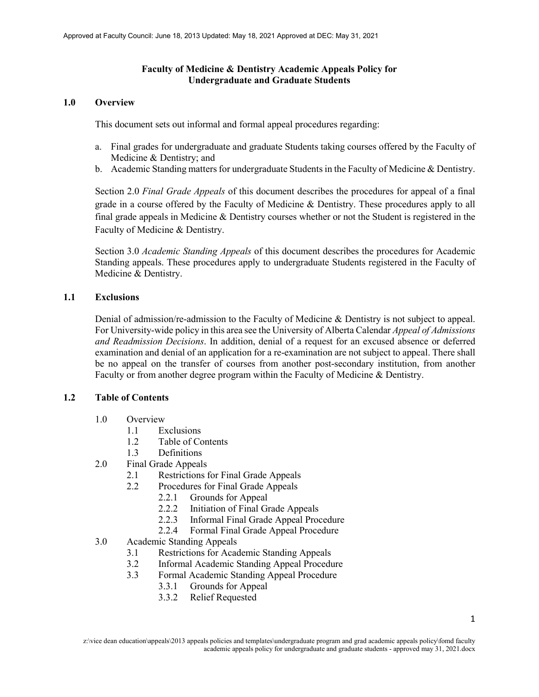#### **Faculty of Medicine & Dentistry Academic Appeals Policy for Undergraduate and Graduate Students**

#### **1.0 Overview**

This document sets out informal and formal appeal procedures regarding:

- a. Final grades for undergraduate and graduate Students taking courses offered by the Faculty of Medicine & Dentistry; and
- b. Academic Standing matters for undergraduate Students in the Faculty of Medicine & Dentistry.

Section 2.0 *Final Grade Appeals* of this document describes the procedures for appeal of a final grade in a course offered by the Faculty of Medicine & Dentistry. These procedures apply to all final grade appeals in Medicine & Dentistry courses whether or not the Student is registered in the Faculty of Medicine & Dentistry.

Section 3.0 *Academic Standing Appeals* of this document describes the procedures for Academic Standing appeals. These procedures apply to undergraduate Students registered in the Faculty of Medicine & Dentistry.

#### **1.1 Exclusions**

Denial of admission/re-admission to the Faculty of Medicine & Dentistry is not subject to appeal. For University-wide policy in this area see the University of Alberta Calendar *Appeal of Admissions and Readmission Decisions*. In addition, denial of a request for an excused absence or deferred examination and denial of an application for a re-examination are not subject to appeal. There shall be no appeal on the transfer of courses from another post-secondary institution, from another Faculty or from another degree program within the Faculty of Medicine & Dentistry.

#### **1.2 Table of Contents**

- 1.0 Overview
	- 1.1 Exclusions
	- 1.2 Table of Contents
	- 1.3 Definitions
- 2.0 Final Grade Appeals
	- 2.1 Restrictions for Final Grade Appeals
	- 2.2 Procedures for Final Grade Appeals
		- 2.2.1 Grounds for Appeal
		- 2.2.2 Initiation of Final Grade Appeals
		- 2.2.3 Informal Final Grade Appeal Procedure
		- 2.2.4 Formal Final Grade Appeal Procedure
- 3.0 Academic Standing Appeals
	- 3.1 Restrictions for Academic Standing Appeals
	- 3.2 Informal Academic Standing Appeal Procedure
	- 3.3 Formal Academic Standing Appeal Procedure
		- 3.3.1 Grounds for Appeal
		- 3.3.2 Relief Requested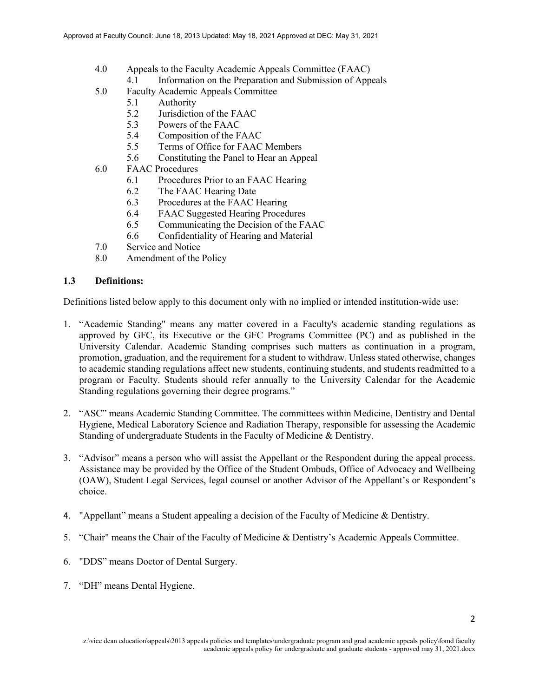- 4.0 Appeals to the Faculty Academic Appeals Committee (FAAC)
	- 4.1 Information on the Preparation and Submission of Appeals
- 5.0 Faculty Academic Appeals Committee
	- 5.1 Authority
	- 5.2 Jurisdiction of the FAAC
	- 5.3 Powers of the FAAC
	- 5.4 Composition of the FAAC
	- 5.5 Terms of Office for FAAC Members
	- 5.6 Constituting the Panel to Hear an Appeal
- 6.0 FAAC Procedures
	- 6.1 Procedures Prior to an FAAC Hearing
	- 6.2 The FAAC Hearing Date
	- 6.3 Procedures at the FAAC Hearing<br>6.4 FAAC Suggested Hearing Proced
	- FAAC Suggested Hearing Procedures
	- 6.5 Communicating the Decision of the FAAC
	- 6.6 Confidentiality of Hearing and Material
- 7.0 Service and Notice
- 8.0 Amendment of the Policy

### **1.3 Definitions:**

Definitions listed below apply to this document only with no implied or intended institution-wide use:

- 1. "Academic Standing" means any matter covered in a Faculty's academic standing regulations as approved by GFC, its Executive or the GFC Programs Committee (PC) and as published in the University Calendar. Academic Standing comprises such matters as continuation in a program, promotion, graduation, and the requirement for a student to withdraw. Unless stated otherwise, changes to academic standing regulations affect new students, continuing students, and students readmitted to a program or Faculty. Students should refer annually to the University Calendar for the Academic Standing regulations governing their degree programs."
- 2. "ASC" means Academic Standing Committee. The committees within Medicine, Dentistry and Dental Hygiene, Medical Laboratory Science and Radiation Therapy, responsible for assessing the Academic Standing of undergraduate Students in the Faculty of Medicine & Dentistry.
- 3. "Advisor" means a person who will assist the Appellant or the Respondent during the appeal process. Assistance may be provided by the Office of the Student Ombuds, Office of Advocacy and Wellbeing (OAW), Student Legal Services, legal counsel or another Advisor of the Appellant's or Respondent's choice.
- 4. "Appellant" means a Student appealing a decision of the Faculty of Medicine & Dentistry.
- 5. "Chair" means the Chair of the Faculty of Medicine & Dentistry's Academic Appeals Committee.
- 6. "DDS" means Doctor of Dental Surgery.
- 7. "DH" means Dental Hygiene.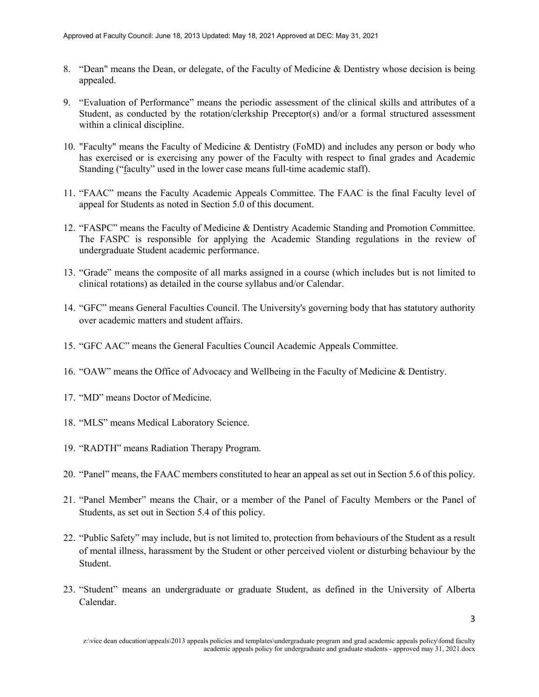- 8. "Dean" means the Dean, or delegate, of the Faculty of Medicine & Dentistry whose decision is being appealed.
- 9. "Evaluation of Performance" means the periodic assessment of the clinical skills and attributes of a Student, as conducted by the rotation/clerkship Preceptor(s) and/or a formal structured assessment within a clinical discipline.
- 10. "Faculty" means the Faculty of Medicine & Dentistry (FoMD) and includes any person or body who has exercised or is exercising any power of the Faculty with respect to final grades and Academic Standing ("faculty" used in the lower case means full-time academic staff).
- 11. "FAAC" means the Faculty Academic Appeals Committee. The FAAC is the final Faculty level of appeal for Students as noted in Section 5.0 of this document.
- 12. "FASPC" means the Faculty of Medicine & Dentistry Academic Standing and Promotion Committee. The FASPC is responsible for applying the Academic Standing regulations in the review of undergraduate Student academic performance.
- 13. "Grade" means the composite of all marks assigned in a course (which includes but is not limited to clinical rotations) as detailed in the course syllabus and/or Calendar.
- 14. "GFC" means General Faculties Council. The University's governing body that has statutory authority over academic matters and student affairs.
- 15. "GFC AAC" means the General Faculties Council Academic Appeals Committee.
- 16. "OAW" means the Office of Advocacy and Wellbeing in the Faculty of Medicine & Dentistry.
- 17. "MD" means Doctor of Medicine.
- 18. "MLS" means Medical Laboratory Science.
- 19. "RADTH" means Radiation Therapy Program.
- 20. "Panel" means, the FAAC members constituted to hear an appeal as set out in Section 5.6 of this policy.
- 21. "Panel Member" means the Chair, or a member of the Panel of Faculty Members or the Panel of Students, as set out in Section 5.4 of this policy.
- 22. "Public Safety" may include, but is not limited to, protection from behaviours of the Student as a result of mental illness, harassment by the Student or other perceived violent or disturbing behaviour by the Student.
- 23. "Student" means an undergraduate or graduate Student, as defined in the University of Alberta Calendar.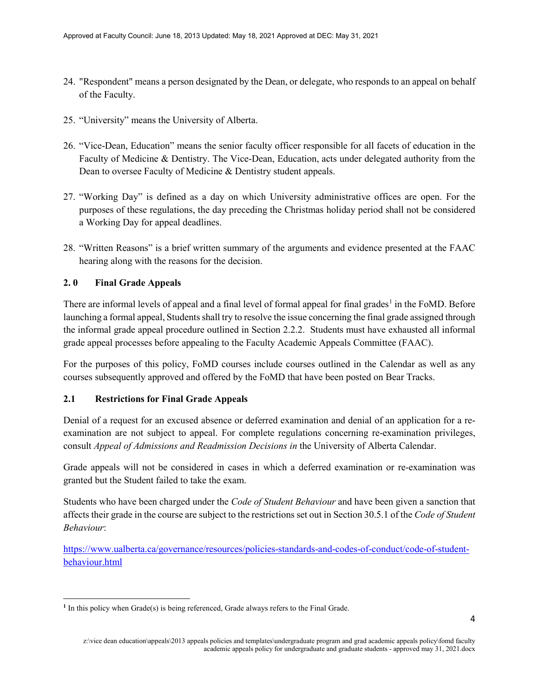- 24. "Respondent" means a person designated by the Dean, or delegate, who responds to an appeal on behalf of the Faculty.
- 25. "University" means the University of Alberta.
- 26. "Vice-Dean, Education" means the senior faculty officer responsible for all facets of education in the Faculty of Medicine & Dentistry. The Vice-Dean, Education, acts under delegated authority from the Dean to oversee Faculty of Medicine & Dentistry student appeals.
- 27. "Working Day" is defined as a day on which University administrative offices are open. For the purposes of these regulations, the day preceding the Christmas holiday period shall not be considered a Working Day for appeal deadlines.
- 28. "Written Reasons" is a brief written summary of the arguments and evidence presented at the FAAC hearing along with the reasons for the decision.

# **2. 0 Final Grade Appeals**

There are informal levels of appeal and a final level of formal appeal for final grades<sup>[1](#page-3-0)</sup> in the FoMD. Before launching a formal appeal, Students shall try to resolve the issue concerning the final grade assigned through the informal grade appeal procedure outlined in Section 2.2.2. Students must have exhausted all informal grade appeal processes before appealing to the Faculty Academic Appeals Committee (FAAC).

For the purposes of this policy, FoMD courses include courses outlined in the Calendar as well as any courses subsequently approved and offered by the FoMD that have been posted on Bear Tracks.

#### **2.1 Restrictions for Final Grade Appeals**

Denial of a request for an excused absence or deferred examination and denial of an application for a reexamination are not subject to appeal. For complete regulations concerning re-examination privileges, consult *Appeal of Admissions and Readmission Decisions in* the University of Alberta Calendar.

Grade appeals will not be considered in cases in which a deferred examination or re-examination was granted but the Student failed to take the exam.

Students who have been charged under the *Code of Student Behaviour* and have been given a sanction that affects their grade in the course are subject to the restrictions set out in Section 30.5.1 of the *Code of Student Behaviour*:

[https://www.ualberta.ca/governance/resources/policies-standards-and-codes-of-conduct/code-of-student](https://www.ualberta.ca/governance/resources/policies-standards-and-codes-of-conduct/code-of-student-behaviour.html)[behaviour.html](https://www.ualberta.ca/governance/resources/policies-standards-and-codes-of-conduct/code-of-student-behaviour.html)

<span id="page-3-0"></span> $\overline{\phantom{a}}$ <sup>1</sup> In this policy when Grade(s) is being referenced, Grade always refers to the Final Grade.

z:\vice dean education\appeals\2013 appeals policies and templates\undergraduate program and grad academic appeals policy\fomd faculty academic appeals policy for undergraduate and graduate students - approved may 31, 2021.docx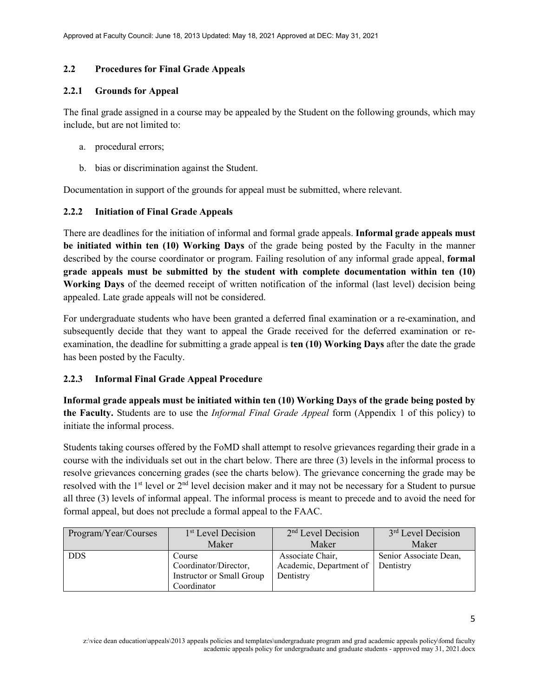#### **2.2 Procedures for Final Grade Appeals**

#### **2.2.1 Grounds for Appeal**

The final grade assigned in a course may be appealed by the Student on the following grounds, which may include, but are not limited to:

- a. procedural errors;
- b. bias or discrimination against the Student.

Documentation in support of the grounds for appeal must be submitted, where relevant.

### **2.2.2 Initiation of Final Grade Appeals**

There are deadlines for the initiation of informal and formal grade appeals. **Informal grade appeals must be initiated within ten (10) Working Days** of the grade being posted by the Faculty in the manner described by the course coordinator or program. Failing resolution of any informal grade appeal, **formal grade appeals must be submitted by the student with complete documentation within ten (10) Working Days** of the deemed receipt of written notification of the informal (last level) decision being appealed. Late grade appeals will not be considered.

For undergraduate students who have been granted a deferred final examination or a re-examination, and subsequently decide that they want to appeal the Grade received for the deferred examination or reexamination, the deadline for submitting a grade appeal is **ten (10) Working Days** after the date the grade has been posted by the Faculty.

#### **2.2.3 Informal Final Grade Appeal Procedure**

**Informal grade appeals must be initiated within ten (10) Working Days of the grade being posted by the Faculty.** Students are to use the *Informal Final Grade Appeal* form (Appendix 1 of this policy) to initiate the informal process.

Students taking courses offered by the FoMD shall attempt to resolve grievances regarding their grade in a course with the individuals set out in the chart below. There are three (3) levels in the informal process to resolve grievances concerning grades (see the charts below). The grievance concerning the grade may be resolved with the 1st level or 2nd level decision maker and it may not be necessary for a Student to pursue all three (3) levels of informal appeal. The informal process is meant to precede and to avoid the need for formal appeal, but does not preclude a formal appeal to the FAAC.

| Program/Year/Courses | 1 <sup>st</sup> Level Decision | $2nd$ Level Decision              | 3 <sup>rd</sup> Level Decision |
|----------------------|--------------------------------|-----------------------------------|--------------------------------|
|                      | Maker                          | Maker                             | Maker                          |
| <b>DDS</b>           | Course                         | Associate Chair,                  | Senior Associate Dean,         |
|                      | Coordinator/Director,          | Academic, Department of Dentistry |                                |
|                      | Instructor or Small Group      | Dentistry                         |                                |
|                      | Coordinator                    |                                   |                                |

z:\vice dean education\appeals\2013 appeals policies and templates\undergraduate program and grad academic appeals policy\fomd faculty academic appeals policy for undergraduate and graduate students - approved may 31, 2021.docx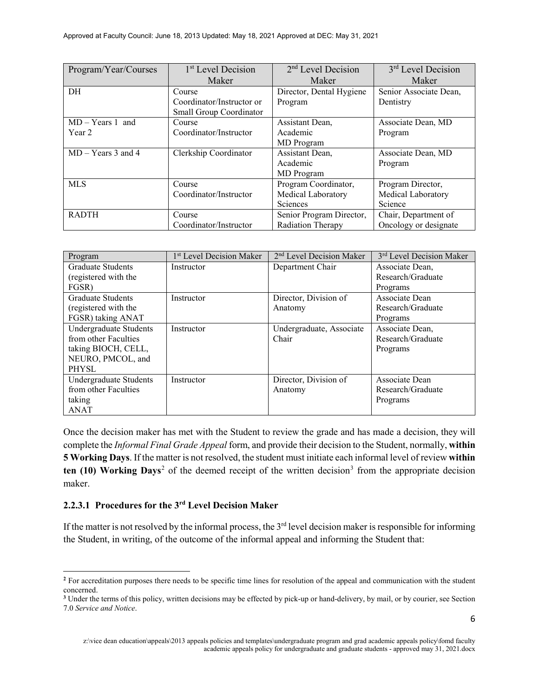| Program/Year/Courses | 1 <sup>st</sup> Level Decision | 2 <sup>nd</sup> Level Decision | 3 <sup>rd</sup> Level Decision |
|----------------------|--------------------------------|--------------------------------|--------------------------------|
|                      | Maker                          | Maker                          | Maker                          |
| DH                   | Course                         | Director, Dental Hygiene       | Senior Associate Dean,         |
|                      | Coordinator/Instructor or      | Program                        | Dentistry                      |
|                      | Small Group Coordinator        |                                |                                |
| $MD - Years 1$ and   | Course                         | Assistant Dean,                | Associate Dean, MD             |
| Year 2               | Coordinator/Instructor         | Academic                       | Program                        |
|                      |                                | MD Program                     |                                |
| $MD - Years 3$ and 4 | Clerkship Coordinator          | Assistant Dean,                | Associate Dean, MD             |
|                      |                                | Academic                       | Program                        |
|                      |                                | MD Program                     |                                |
| <b>MLS</b>           | Course                         | Program Coordinator,           | Program Director,              |
|                      | Coordinator/Instructor         | Medical Laboratory             | Medical Laboratory             |
|                      |                                | Sciences                       | Science                        |
| <b>RADTH</b>         | Course                         | Senior Program Director,       | Chair, Department of           |
|                      | Coordinator/Instructor         | Radiation Therapy              | Oncology or designate          |

| Program                  | 1 <sup>st</sup> Level Decision Maker | 2 <sup>nd</sup> Level Decision Maker | 3 <sup>rd</sup> Level Decision Maker |
|--------------------------|--------------------------------------|--------------------------------------|--------------------------------------|
| <b>Graduate Students</b> | Instructor                           | Department Chair                     | Associate Dean,                      |
| (registered with the     |                                      |                                      | Research/Graduate                    |
| FGSR)                    |                                      |                                      | Programs                             |
| <b>Graduate Students</b> | Instructor                           | Director, Division of                | Associate Dean                       |
| (registered with the     |                                      | Anatomy                              | Research/Graduate                    |
| FGSR) taking ANAT        |                                      |                                      | Programs                             |
| Undergraduate Students   | Instructor                           | Undergraduate, Associate             | Associate Dean,                      |
| from other Faculties     |                                      | Chair                                | Research/Graduate                    |
| taking BIOCH, CELL,      |                                      |                                      | Programs                             |
| NEURO, PMCOL, and        |                                      |                                      |                                      |
| <b>PHYSL</b>             |                                      |                                      |                                      |
| Undergraduate Students   | Instructor                           | Director, Division of                | Associate Dean                       |
| from other Faculties     |                                      | Anatomy                              | Research/Graduate                    |
| taking                   |                                      |                                      | Programs                             |
| <b>ANAT</b>              |                                      |                                      |                                      |

Once the decision maker has met with the Student to review the grade and has made a decision, they will complete the *Informal Final Grade Appeal* form, and provide their decision to the Student, normally, **within 5 Working Days**. If the matter is not resolved, the student must initiate each informal level of review **within**   $t$ en (10) Working Days<sup>[2](#page-5-0)</sup> of the deemed receipt of the written decision<sup>[3](#page-5-1)</sup> from the appropriate decision maker.

# **2.2.3.1 Procedures for the 3rd Level Decision Maker**

 $\overline{a}$ 

If the matter is not resolved by the informal process, the  $3<sup>rd</sup>$  level decision maker is responsible for informing the Student, in writing, of the outcome of the informal appeal and informing the Student that:

<span id="page-5-0"></span><sup>&</sup>lt;sup>2</sup> For accreditation purposes there needs to be specific time lines for resolution of the appeal and communication with the student concerned.

<span id="page-5-1"></span>**<sup>3</sup>** Under the terms of this policy, written decisions may be effected by pick-up or hand-delivery, by mail, or by courier, see Section 7.0 *Service and Notice*.

z:\vice dean education\appeals\2013 appeals policies and templates\undergraduate program and grad academic appeals policy\fomd faculty academic appeals policy for undergraduate and graduate students - approved may 31, 2021.docx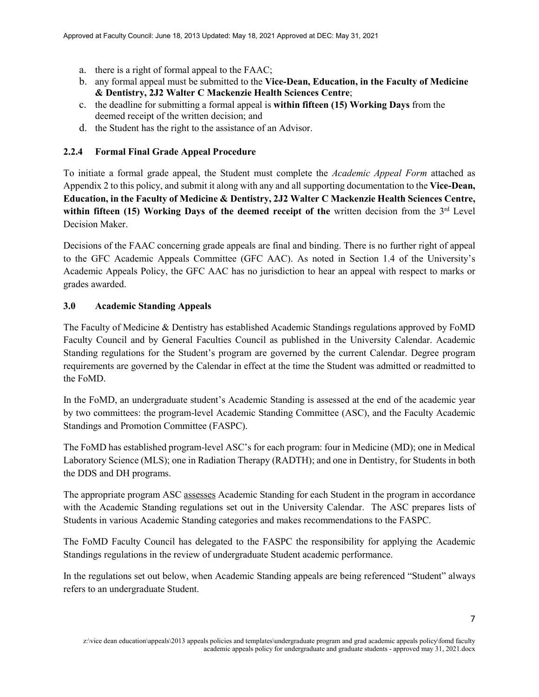- a. there is a right of formal appeal to the FAAC;
- b. any formal appeal must be submitted to the **Vice-Dean, Education, in the Faculty of Medicine & Dentistry, 2J2 Walter C Mackenzie Health Sciences Centre**;
- c. the deadline for submitting a formal appeal is **within fifteen (15) Working Days** from the deemed receipt of the written decision; and
- d. the Student has the right to the assistance of an Advisor.

# **2.2.4 Formal Final Grade Appeal Procedure**

To initiate a formal grade appeal, the Student must complete the *Academic Appeal Form* attached as Appendix 2 to this policy, and submit it along with any and all supporting documentation to the **Vice-Dean, Education, in the Faculty of Medicine & Dentistry, 2J2 Walter C Mackenzie Health Sciences Centre, within fifteen** (15) Working Days of the deemed receipt of the written decision from the  $3<sup>rd</sup>$  Level Decision Maker.

Decisions of the FAAC concerning grade appeals are final and binding. There is no further right of appeal to the GFC Academic Appeals Committee (GFC AAC). As noted in Section 1.4 of the University's Academic Appeals Policy, the GFC AAC has no jurisdiction to hear an appeal with respect to marks or grades awarded.

# **3.0 Academic Standing Appeals**

The Faculty of Medicine & Dentistry has established Academic Standings regulations approved by FoMD Faculty Council and by General Faculties Council as published in the University Calendar. Academic Standing regulations for the Student's program are governed by the current Calendar. Degree program requirements are governed by the Calendar in effect at the time the Student was admitted or readmitted to the FoMD.

In the FoMD, an undergraduate student's Academic Standing is assessed at the end of the academic year by two committees: the program-level Academic Standing Committee (ASC), and the Faculty Academic Standings and Promotion Committee (FASPC).

The FoMD has established program-level ASC's for each program: four in Medicine (MD); one in Medical Laboratory Science (MLS); one in Radiation Therapy (RADTH); and one in Dentistry, for Students in both the DDS and DH programs.

The appropriate program ASC assesses Academic Standing for each Student in the program in accordance with the Academic Standing regulations set out in the University Calendar. The ASC prepares lists of Students in various Academic Standing categories and makes recommendations to the FASPC.

The FoMD Faculty Council has delegated to the FASPC the responsibility for applying the Academic Standings regulations in the review of undergraduate Student academic performance.

In the regulations set out below, when Academic Standing appeals are being referenced "Student" always refers to an undergraduate Student.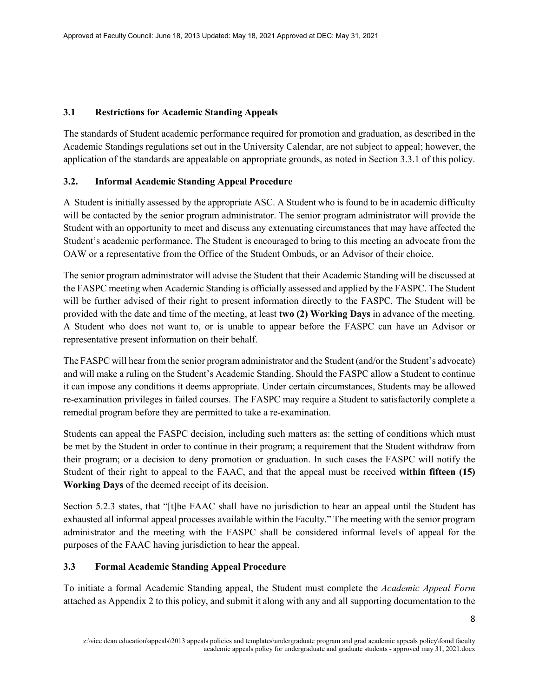### **3.1 Restrictions for Academic Standing Appeals**

The standards of Student academic performance required for promotion and graduation, as described in the Academic Standings regulations set out in the University Calendar, are not subject to appeal; however, the application of the standards are appealable on appropriate grounds, as noted in Section 3.3.1 of this policy.

# **3.2. Informal Academic Standing Appeal Procedure**

A Student is initially assessed by the appropriate ASC. A Student who is found to be in academic difficulty will be contacted by the senior program administrator. The senior program administrator will provide the Student with an opportunity to meet and discuss any extenuating circumstances that may have affected the Student's academic performance. The Student is encouraged to bring to this meeting an advocate from the OAW or a representative from the Office of the Student Ombuds, or an Advisor of their choice.

The senior program administrator will advise the Student that their Academic Standing will be discussed at the FASPC meeting when Academic Standing is officially assessed and applied by the FASPC. The Student will be further advised of their right to present information directly to the FASPC. The Student will be provided with the date and time of the meeting, at least **two (2) Working Days** in advance of the meeting. A Student who does not want to, or is unable to appear before the FASPC can have an Advisor or representative present information on their behalf.

The FASPC will hear from the senior program administrator and the Student (and/or the Student's advocate) and will make a ruling on the Student's Academic Standing. Should the FASPC allow a Student to continue it can impose any conditions it deems appropriate. Under certain circumstances, Students may be allowed re-examination privileges in failed courses. The FASPC may require a Student to satisfactorily complete a remedial program before they are permitted to take a re-examination.

Students can appeal the FASPC decision, including such matters as: the setting of conditions which must be met by the Student in order to continue in their program; a requirement that the Student withdraw from their program; or a decision to deny promotion or graduation. In such cases the FASPC will notify the Student of their right to appeal to the FAAC, and that the appeal must be received **within fifteen (15) Working Days** of the deemed receipt of its decision.

Section 5.2.3 states, that "[t]he FAAC shall have no jurisdiction to hear an appeal until the Student has exhausted all informal appeal processes available within the Faculty." The meeting with the senior program administrator and the meeting with the FASPC shall be considered informal levels of appeal for the purposes of the FAAC having jurisdiction to hear the appeal.

# **3.3 Formal Academic Standing Appeal Procedure**

To initiate a formal Academic Standing appeal, the Student must complete the *Academic Appeal Form* attached as Appendix 2 to this policy, and submit it along with any and all supporting documentation to the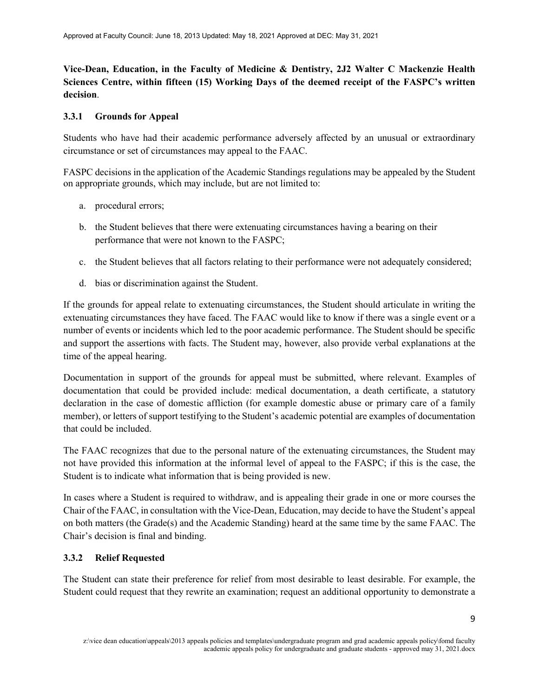**Vice-Dean, Education, in the Faculty of Medicine & Dentistry, 2J2 Walter C Mackenzie Health Sciences Centre, within fifteen (15) Working Days of the deemed receipt of the FASPC's written decision**.

#### **3.3.1 Grounds for Appeal**

Students who have had their academic performance adversely affected by an unusual or extraordinary circumstance or set of circumstances may appeal to the FAAC.

FASPC decisions in the application of the Academic Standings regulations may be appealed by the Student on appropriate grounds, which may include, but are not limited to:

- a. procedural errors;
- b. the Student believes that there were extenuating circumstances having a bearing on their performance that were not known to the FASPC;
- c. the Student believes that all factors relating to their performance were not adequately considered;
- d. bias or discrimination against the Student.

If the grounds for appeal relate to extenuating circumstances, the Student should articulate in writing the extenuating circumstances they have faced. The FAAC would like to know if there was a single event or a number of events or incidents which led to the poor academic performance. The Student should be specific and support the assertions with facts. The Student may, however, also provide verbal explanations at the time of the appeal hearing.

Documentation in support of the grounds for appeal must be submitted, where relevant. Examples of documentation that could be provided include: medical documentation, a death certificate, a statutory declaration in the case of domestic affliction (for example domestic abuse or primary care of a family member), or letters of support testifying to the Student's academic potential are examples of documentation that could be included.

The FAAC recognizes that due to the personal nature of the extenuating circumstances, the Student may not have provided this information at the informal level of appeal to the FASPC; if this is the case, the Student is to indicate what information that is being provided is new.

In cases where a Student is required to withdraw, and is appealing their grade in one or more courses the Chair of the FAAC, in consultation with the Vice-Dean, Education, may decide to have the Student's appeal on both matters (the Grade(s) and the Academic Standing) heard at the same time by the same FAAC. The Chair's decision is final and binding.

#### **3.3.2 Relief Requested**

The Student can state their preference for relief from most desirable to least desirable. For example, the Student could request that they rewrite an examination; request an additional opportunity to demonstrate a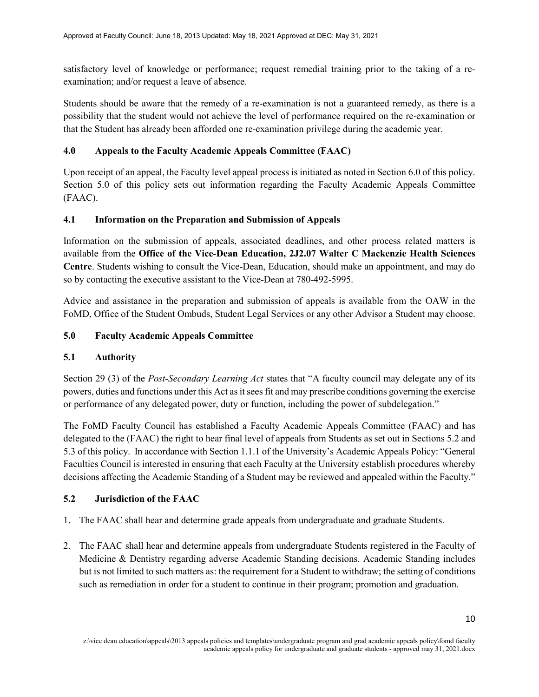satisfactory level of knowledge or performance; request remedial training prior to the taking of a reexamination; and/or request a leave of absence.

Students should be aware that the remedy of a re-examination is not a guaranteed remedy, as there is a possibility that the student would not achieve the level of performance required on the re-examination or that the Student has already been afforded one re-examination privilege during the academic year.

# **4.0 Appeals to the Faculty Academic Appeals Committee (FAAC)**

Upon receipt of an appeal, the Faculty level appeal process is initiated as noted in Section 6.0 of this policy. Section 5.0 of this policy sets out information regarding the Faculty Academic Appeals Committee (FAAC).

# **4.1 Information on the Preparation and Submission of Appeals**

Information on the submission of appeals, associated deadlines, and other process related matters is available from the **Office of the Vice-Dean Education, 2J2.07 Walter C Mackenzie Health Sciences Centre**. Students wishing to consult the Vice-Dean, Education, should make an appointment, and may do so by contacting the executive assistant to the Vice-Dean at 780-492-5995.

Advice and assistance in the preparation and submission of appeals is available from the OAW in the FoMD, Office of the Student Ombuds, Student Legal Services or any other Advisor a Student may choose.

# **5.0 Faculty Academic Appeals Committee**

# **5.1 Authority**

Section 29 (3) of the *Post-Secondary Learning Act* states that "A faculty council may delegate any of its powers, duties and functions under this Act as it sees fit and may prescribe conditions governing the exercise or performance of any delegated power, duty or function, including the power of subdelegation."

The FoMD Faculty Council has established a Faculty Academic Appeals Committee (FAAC) and has delegated to the (FAAC) the right to hear final level of appeals from Students as set out in Sections 5.2 and 5.3 of this policy. In accordance with Section 1.1.1 of the University's Academic Appeals Policy: "General Faculties Council is interested in ensuring that each Faculty at the University establish procedures whereby decisions affecting the Academic Standing of a Student may be reviewed and appealed within the Faculty."

# **5.2 Jurisdiction of the FAAC**

- 1. The FAAC shall hear and determine grade appeals from undergraduate and graduate Students.
- 2. The FAAC shall hear and determine appeals from undergraduate Students registered in the Faculty of Medicine & Dentistry regarding adverse Academic Standing decisions. Academic Standing includes but is not limited to such matters as: the requirement for a Student to withdraw; the setting of conditions such as remediation in order for a student to continue in their program; promotion and graduation.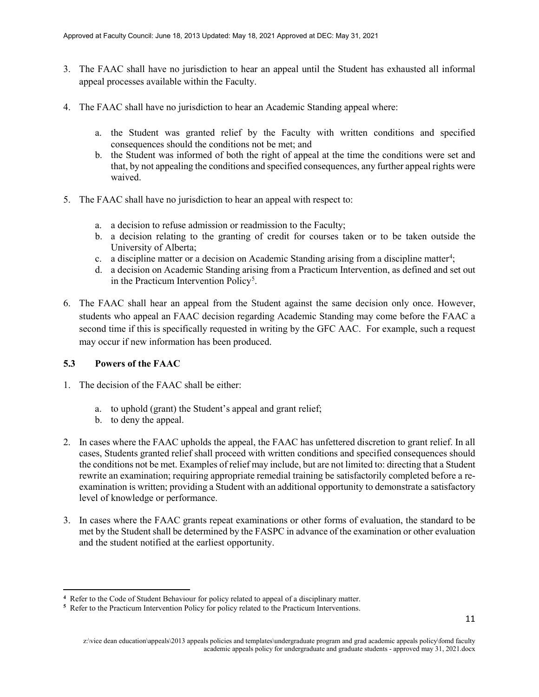- 3. The FAAC shall have no jurisdiction to hear an appeal until the Student has exhausted all informal appeal processes available within the Faculty.
- 4. The FAAC shall have no jurisdiction to hear an Academic Standing appeal where:
	- a. the Student was granted relief by the Faculty with written conditions and specified consequences should the conditions not be met; and
	- b. the Student was informed of both the right of appeal at the time the conditions were set and that, by not appealing the conditions and specified consequences, any further appeal rights were waived.
- 5. The FAAC shall have no jurisdiction to hear an appeal with respect to:
	- a. a decision to refuse admission or readmission to the Faculty;
	- b. a decision relating to the granting of credit for courses taken or to be taken outside the University of Alberta;
	- c. a discipline matter or a decision on Academic Standing arising from a discipline matter<sup>[4](#page-10-0)</sup>;
	- d. a decision on Academic Standing arising from a Practicum Intervention, as defined and set out in the Practicum Intervention Policy<sup>[5](#page-10-1)</sup>.
- 6. The FAAC shall hear an appeal from the Student against the same decision only once. However, students who appeal an FAAC decision regarding Academic Standing may come before the FAAC a second time if this is specifically requested in writing by the GFC AAC. For example, such a request may occur if new information has been produced.

# **5.3 Powers of the FAAC**

l

- 1. The decision of the FAAC shall be either:
	- a. to uphold (grant) the Student's appeal and grant relief;
	- b. to deny the appeal.
- 2. In cases where the FAAC upholds the appeal, the FAAC has unfettered discretion to grant relief. In all cases, Students granted relief shall proceed with written conditions and specified consequences should the conditions not be met. Examples of relief may include, but are not limited to: directing that a Student rewrite an examination; requiring appropriate remedial training be satisfactorily completed before a reexamination is written; providing a Student with an additional opportunity to demonstrate a satisfactory level of knowledge or performance.
- 3. In cases where the FAAC grants repeat examinations or other forms of evaluation, the standard to be met by the Student shall be determined by the FASPC in advance of the examination or other evaluation and the student notified at the earliest opportunity.

**<sup>4</sup>** Refer to the Code of Student Behaviour for policy related to appeal of a disciplinary matter.

<span id="page-10-1"></span><span id="page-10-0"></span>**<sup>5</sup>** Refer to the Practicum Intervention Policy for policy related to the Practicum Interventions.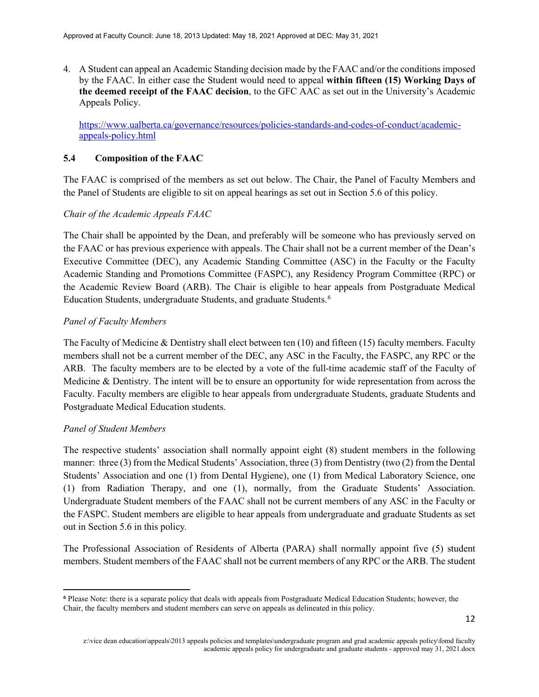4. A Student can appeal an Academic Standing decision made by the FAAC and/or the conditions imposed by the FAAC. In either case the Student would need to appeal **within fifteen (15) Working Days of the deemed receipt of the FAAC decision**, to the GFC AAC as set out in the University's Academic Appeals Policy.

[https://www.ualberta.ca/governance/resources/policies-standards-and-codes-of-conduct/academic](https://www.ualberta.ca/governance/resources/policies-standards-and-codes-of-conduct/academic-appeals-policy.html)[appeals-policy.html](https://www.ualberta.ca/governance/resources/policies-standards-and-codes-of-conduct/academic-appeals-policy.html)

### **5.4 Composition of the FAAC**

The FAAC is comprised of the members as set out below. The Chair, the Panel of Faculty Members and the Panel of Students are eligible to sit on appeal hearings as set out in Section 5.6 of this policy.

### *Chair of the Academic Appeals FAAC*

The Chair shall be appointed by the Dean, and preferably will be someone who has previously served on the FAAC or has previous experience with appeals. The Chair shall not be a current member of the Dean's Executive Committee (DEC), any Academic Standing Committee (ASC) in the Faculty or the Faculty Academic Standing and Promotions Committee (FASPC), any Residency Program Committee (RPC) or the Academic Review Board (ARB). The Chair is eligible to hear appeals from Postgraduate Medical Education Students, undergraduate Students, and graduate Students.[6](#page-11-0)

### *Panel of Faculty Members*

The Faculty of Medicine & Dentistry shall elect between ten (10) and fifteen (15) faculty members. Faculty members shall not be a current member of the DEC, any ASC in the Faculty, the FASPC, any RPC or the ARB. The faculty members are to be elected by a vote of the full-time academic staff of the Faculty of Medicine & Dentistry. The intent will be to ensure an opportunity for wide representation from across the Faculty. Faculty members are eligible to hear appeals from undergraduate Students, graduate Students and Postgraduate Medical Education students.

#### *Panel of Student Members*

l

The respective students' association shall normally appoint eight (8) student members in the following manner: three (3) from the Medical Students' Association, three (3) from Dentistry (two (2) from the Dental Students' Association and one (1) from Dental Hygiene), one (1) from Medical Laboratory Science, one (1) from Radiation Therapy, and one (1), normally, from the Graduate Students' Association. Undergraduate Student members of the FAAC shall not be current members of any ASC in the Faculty or the FASPC. Student members are eligible to hear appeals from undergraduate and graduate Students as set out in Section 5.6 in this policy*.*

The Professional Association of Residents of Alberta (PARA) shall normally appoint five (5) student members. Student members of the FAAC shall not be current members of any RPC or the ARB. The student

<span id="page-11-0"></span>**<sup>6</sup>** Please Note: there is a separate policy that deals with appeals from Postgraduate Medical Education Students; however, the Chair, the faculty members and student members can serve on appeals as delineated in this policy.

z:\vice dean education\appeals\2013 appeals policies and templates\undergraduate program and grad academic appeals policy\fomd faculty academic appeals policy for undergraduate and graduate students - approved may 31, 2021.docx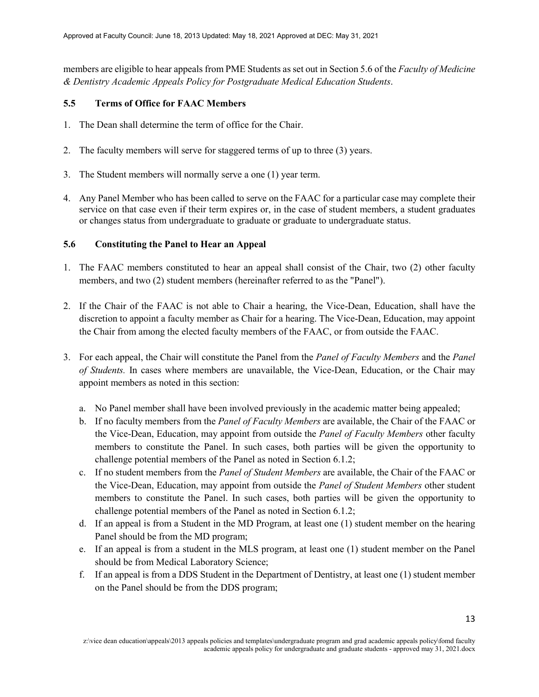members are eligible to hear appeals from PME Students as set out in Section 5.6 of the *Faculty of Medicine & Dentistry Academic Appeals Policy for Postgraduate Medical Education Students*.

### **5.5 Terms of Office for FAAC Members**

- 1. The Dean shall determine the term of office for the Chair.
- 2. The faculty members will serve for staggered terms of up to three (3) years.
- 3. The Student members will normally serve a one (1) year term.
- 4. Any Panel Member who has been called to serve on the FAAC for a particular case may complete their service on that case even if their term expires or, in the case of student members, a student graduates or changes status from undergraduate to graduate or graduate to undergraduate status.

### **5.6 Constituting the Panel to Hear an Appeal**

- 1. The FAAC members constituted to hear an appeal shall consist of the Chair, two (2) other faculty members, and two (2) student members (hereinafter referred to as the "Panel").
- 2. If the Chair of the FAAC is not able to Chair a hearing, the Vice-Dean, Education, shall have the discretion to appoint a faculty member as Chair for a hearing. The Vice-Dean, Education, may appoint the Chair from among the elected faculty members of the FAAC, or from outside the FAAC.
- 3. For each appeal, the Chair will constitute the Panel from the *Panel of Faculty Members* and the *Panel of Students.* In cases where members are unavailable, the Vice-Dean, Education, or the Chair may appoint members as noted in this section:
	- a. No Panel member shall have been involved previously in the academic matter being appealed;
	- b. If no faculty members from the *Panel of Faculty Members* are available, the Chair of the FAAC or the Vice-Dean, Education, may appoint from outside the *Panel of Faculty Members* other faculty members to constitute the Panel. In such cases, both parties will be given the opportunity to challenge potential members of the Panel as noted in Section 6.1.2;
	- c. If no student members from the *Panel of Student Members* are available, the Chair of the FAAC or the Vice-Dean, Education, may appoint from outside the *Panel of Student Members* other student members to constitute the Panel. In such cases, both parties will be given the opportunity to challenge potential members of the Panel as noted in Section 6.1.2;
	- d. If an appeal is from a Student in the MD Program, at least one (1) student member on the hearing Panel should be from the MD program;
	- e. If an appeal is from a student in the MLS program, at least one (1) student member on the Panel should be from Medical Laboratory Science;
	- f. If an appeal is from a DDS Student in the Department of Dentistry, at least one (1) student member on the Panel should be from the DDS program;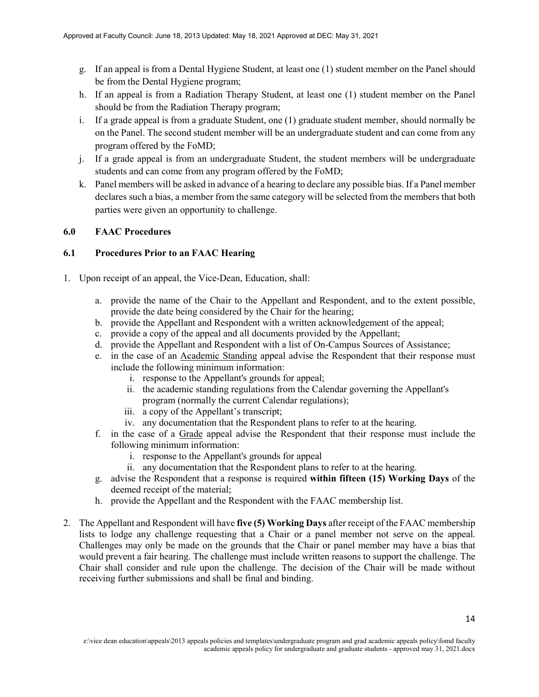- g. If an appeal is from a Dental Hygiene Student, at least one (1) student member on the Panel should be from the Dental Hygiene program;
- h. If an appeal is from a Radiation Therapy Student, at least one (1) student member on the Panel should be from the Radiation Therapy program;
- i. If a grade appeal is from a graduate Student, one (1) graduate student member, should normally be on the Panel. The second student member will be an undergraduate student and can come from any program offered by the FoMD;
- j. If a grade appeal is from an undergraduate Student, the student members will be undergraduate students and can come from any program offered by the FoMD;
- k. Panel members will be asked in advance of a hearing to declare any possible bias. If a Panel member declares such a bias, a member from the same category will be selected from the members that both parties were given an opportunity to challenge.

### **6.0 FAAC Procedures**

# **6.1 Procedures Prior to an FAAC Hearing**

- 1. Upon receipt of an appeal, the Vice-Dean, Education, shall:
	- a. provide the name of the Chair to the Appellant and Respondent, and to the extent possible, provide the date being considered by the Chair for the hearing;
	- b. provide the Appellant and Respondent with a written acknowledgement of the appeal;
	- c. provide a copy of the appeal and all documents provided by the Appellant;
	- d. provide the Appellant and Respondent with a list of On-Campus Sources of Assistance;
	- e. in the case of an Academic Standing appeal advise the Respondent that their response must include the following minimum information:
		- i. response to the Appellant's grounds for appeal;
		- ii. the academic standing regulations from the Calendar governing the Appellant's program (normally the current Calendar regulations);
		- iii. a copy of the Appellant's transcript;
		- iv. any documentation that the Respondent plans to refer to at the hearing.
	- f. in the case of a Grade appeal advise the Respondent that their response must include the following minimum information:
		- i. response to the Appellant's grounds for appeal
		- ii. any documentation that the Respondent plans to refer to at the hearing.
	- g. advise the Respondent that a response is required **within fifteen (15) Working Days** of the deemed receipt of the material;
	- h. provide the Appellant and the Respondent with the FAAC membership list.
- 2. The Appellant and Respondent will have **five (5) Working Days** after receipt of the FAAC membership lists to lodge any challenge requesting that a Chair or a panel member not serve on the appeal. Challenges may only be made on the grounds that the Chair or panel member may have a bias that would prevent a fair hearing. The challenge must include written reasons to support the challenge. The Chair shall consider and rule upon the challenge. The decision of the Chair will be made without receiving further submissions and shall be final and binding.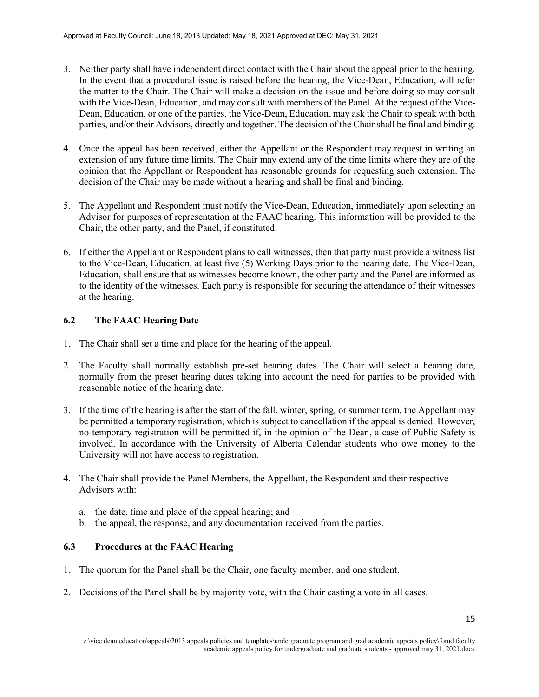- 3. Neither party shall have independent direct contact with the Chair about the appeal prior to the hearing. In the event that a procedural issue is raised before the hearing, the Vice-Dean, Education, will refer the matter to the Chair. The Chair will make a decision on the issue and before doing so may consult with the Vice-Dean, Education, and may consult with members of the Panel. At the request of the Vice-Dean, Education, or one of the parties, the Vice-Dean, Education, may ask the Chair to speak with both parties, and/or their Advisors, directly and together. The decision of the Chair shall be final and binding.
- 4. Once the appeal has been received, either the Appellant or the Respondent may request in writing an extension of any future time limits. The Chair may extend any of the time limits where they are of the opinion that the Appellant or Respondent has reasonable grounds for requesting such extension. The decision of the Chair may be made without a hearing and shall be final and binding.
- 5. The Appellant and Respondent must notify the Vice-Dean, Education, immediately upon selecting an Advisor for purposes of representation at the FAAC hearing. This information will be provided to the Chair, the other party, and the Panel, if constituted.
- 6. If either the Appellant or Respondent plans to call witnesses, then that party must provide a witness list to the Vice-Dean, Education, at least five (5) Working Days prior to the hearing date. The Vice-Dean, Education, shall ensure that as witnesses become known, the other party and the Panel are informed as to the identity of the witnesses. Each party is responsible for securing the attendance of their witnesses at the hearing.

# **6.2 The FAAC Hearing Date**

- 1. The Chair shall set a time and place for the hearing of the appeal.
- 2. The Faculty shall normally establish pre-set hearing dates. The Chair will select a hearing date, normally from the preset hearing dates taking into account the need for parties to be provided with reasonable notice of the hearing date.
- 3. If the time of the hearing is after the start of the fall, winter, spring, or summer term, the Appellant may be permitted a temporary registration, which is subject to cancellation if the appeal is denied. However, no temporary registration will be permitted if, in the opinion of the Dean, a case of Public Safety is involved. In accordance with the University of Alberta Calendar students who owe money to the University will not have access to registration.
- 4. The Chair shall provide the Panel Members, the Appellant, the Respondent and their respective Advisors with:
	- a. the date, time and place of the appeal hearing; and
	- b. the appeal, the response, and any documentation received from the parties.

# **6.3 Procedures at the FAAC Hearing**

- 1. The quorum for the Panel shall be the Chair, one faculty member, and one student.
- 2. Decisions of the Panel shall be by majority vote, with the Chair casting a vote in all cases.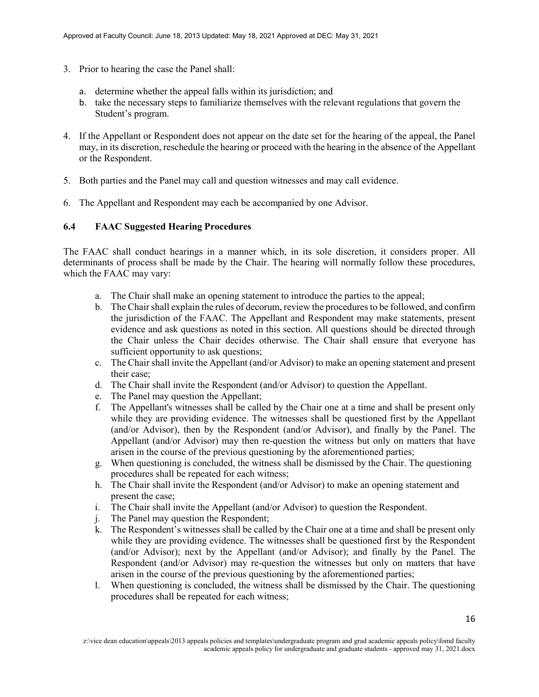- 3. Prior to hearing the case the Panel shall:
	- a. determine whether the appeal falls within its jurisdiction; and
	- b. take the necessary steps to familiarize themselves with the relevant regulations that govern the Student's program.
- 4. If the Appellant or Respondent does not appear on the date set for the hearing of the appeal, the Panel may, in its discretion, reschedule the hearing or proceed with the hearing in the absence of the Appellant or the Respondent.
- 5. Both parties and the Panel may call and question witnesses and may call evidence.
- 6. The Appellant and Respondent may each be accompanied by one Advisor.

#### **6.4 FAAC Suggested Hearing Procedures**

The FAAC shall conduct hearings in a manner which, in its sole discretion, it considers proper. All determinants of process shall be made by the Chair. The hearing will normally follow these procedures, which the FAAC may vary:

- a. The Chair shall make an opening statement to introduce the parties to the appeal;
- b. The Chair shall explain the rules of decorum, review the procedures to be followed, and confirm the jurisdiction of the FAAC. The Appellant and Respondent may make statements, present evidence and ask questions as noted in this section. All questions should be directed through the Chair unless the Chair decides otherwise. The Chair shall ensure that everyone has sufficient opportunity to ask questions;
- c. The Chair shall invite the Appellant (and/or Advisor) to make an opening statement and present their case;
- d. The Chair shall invite the Respondent (and/or Advisor) to question the Appellant.
- e. The Panel may question the Appellant;
- f. The Appellant's witnesses shall be called by the Chair one at a time and shall be present only while they are providing evidence. The witnesses shall be questioned first by the Appellant (and/or Advisor), then by the Respondent (and/or Advisor), and finally by the Panel. The Appellant (and/or Advisor) may then re-question the witness but only on matters that have arisen in the course of the previous questioning by the aforementioned parties;
- g. When questioning is concluded, the witness shall be dismissed by the Chair. The questioning procedures shall be repeated for each witness;
- h. The Chair shall invite the Respondent (and/or Advisor) to make an opening statement and present the case;
- i. The Chair shall invite the Appellant (and/or Advisor) to question the Respondent.
- j. The Panel may question the Respondent;
- k. The Respondent's witnesses shall be called by the Chair one at a time and shall be present only while they are providing evidence. The witnesses shall be questioned first by the Respondent (and/or Advisor); next by the Appellant (and/or Advisor); and finally by the Panel. The Respondent (and/or Advisor) may re-question the witnesses but only on matters that have arisen in the course of the previous questioning by the aforementioned parties;
- l. When questioning is concluded, the witness shall be dismissed by the Chair. The questioning procedures shall be repeated for each witness;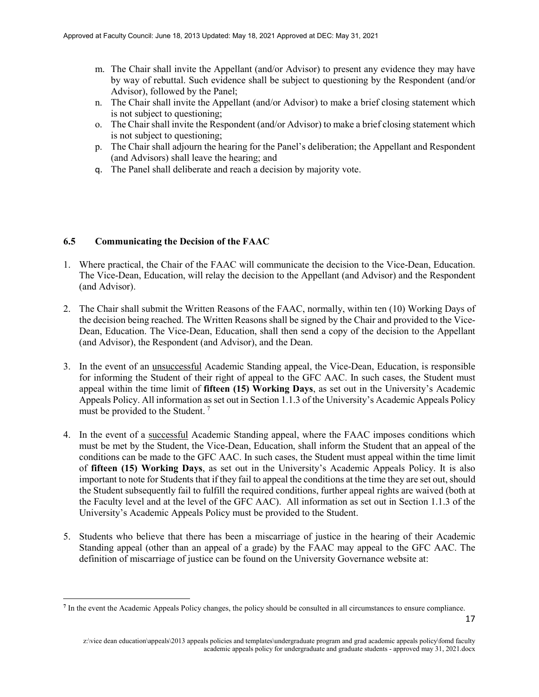- m. The Chair shall invite the Appellant (and/or Advisor) to present any evidence they may have by way of rebuttal. Such evidence shall be subject to questioning by the Respondent (and/or Advisor), followed by the Panel;
- n. The Chair shall invite the Appellant (and/or Advisor) to make a brief closing statement which is not subject to questioning;
- o. The Chair shall invite the Respondent (and/or Advisor) to make a brief closing statement which is not subject to questioning;
- p. The Chair shall adjourn the hearing for the Panel's deliberation; the Appellant and Respondent (and Advisors) shall leave the hearing; and
- q. The Panel shall deliberate and reach a decision by majority vote.

#### **6.5 Communicating the Decision of the FAAC**

 $\overline{\phantom{a}}$ 

- 1. Where practical, the Chair of the FAAC will communicate the decision to the Vice-Dean, Education. The Vice-Dean, Education, will relay the decision to the Appellant (and Advisor) and the Respondent (and Advisor).
- 2. The Chair shall submit the Written Reasons of the FAAC, normally, within ten (10) Working Days of the decision being reached. The Written Reasons shall be signed by the Chair and provided to the Vice-Dean, Education. The Vice-Dean, Education, shall then send a copy of the decision to the Appellant (and Advisor), the Respondent (and Advisor), and the Dean.
- 3. In the event of an unsuccessful Academic Standing appeal, the Vice-Dean, Education, is responsible for informing the Student of their right of appeal to the GFC AAC. In such cases, the Student must appeal within the time limit of **fifteen (15) Working Days**, as set out in the University's Academic Appeals Policy. All information as set out in Section 1.1.3 of the University's Academic Appeals Policy must be provided to the Student.<sup>[7](#page-16-0)</sup>
- 4. In the event of a successful Academic Standing appeal, where the FAAC imposes conditions which must be met by the Student, the Vice-Dean, Education, shall inform the Student that an appeal of the conditions can be made to the GFC AAC. In such cases, the Student must appeal within the time limit of **fifteen (15) Working Days**, as set out in the University's Academic Appeals Policy. It is also important to note for Students that if they fail to appeal the conditions at the time they are set out, should the Student subsequently fail to fulfill the required conditions, further appeal rights are waived (both at the Faculty level and at the level of the GFC AAC). All information as set out in Section 1.1.3 of the University's Academic Appeals Policy must be provided to the Student.
- 5. Students who believe that there has been a miscarriage of justice in the hearing of their Academic Standing appeal (other than an appeal of a grade) by the FAAC may appeal to the GFC AAC. The definition of miscarriage of justice can be found on the University Governance website at:

<span id="page-16-0"></span>**<sup>7</sup>** In the event the Academic Appeals Policy changes, the policy should be consulted in all circumstances to ensure compliance.

z:\vice dean education\appeals\2013 appeals policies and templates\undergraduate program and grad academic appeals policy\fomd faculty academic appeals policy for undergraduate and graduate students - approved may 31, 2021.docx